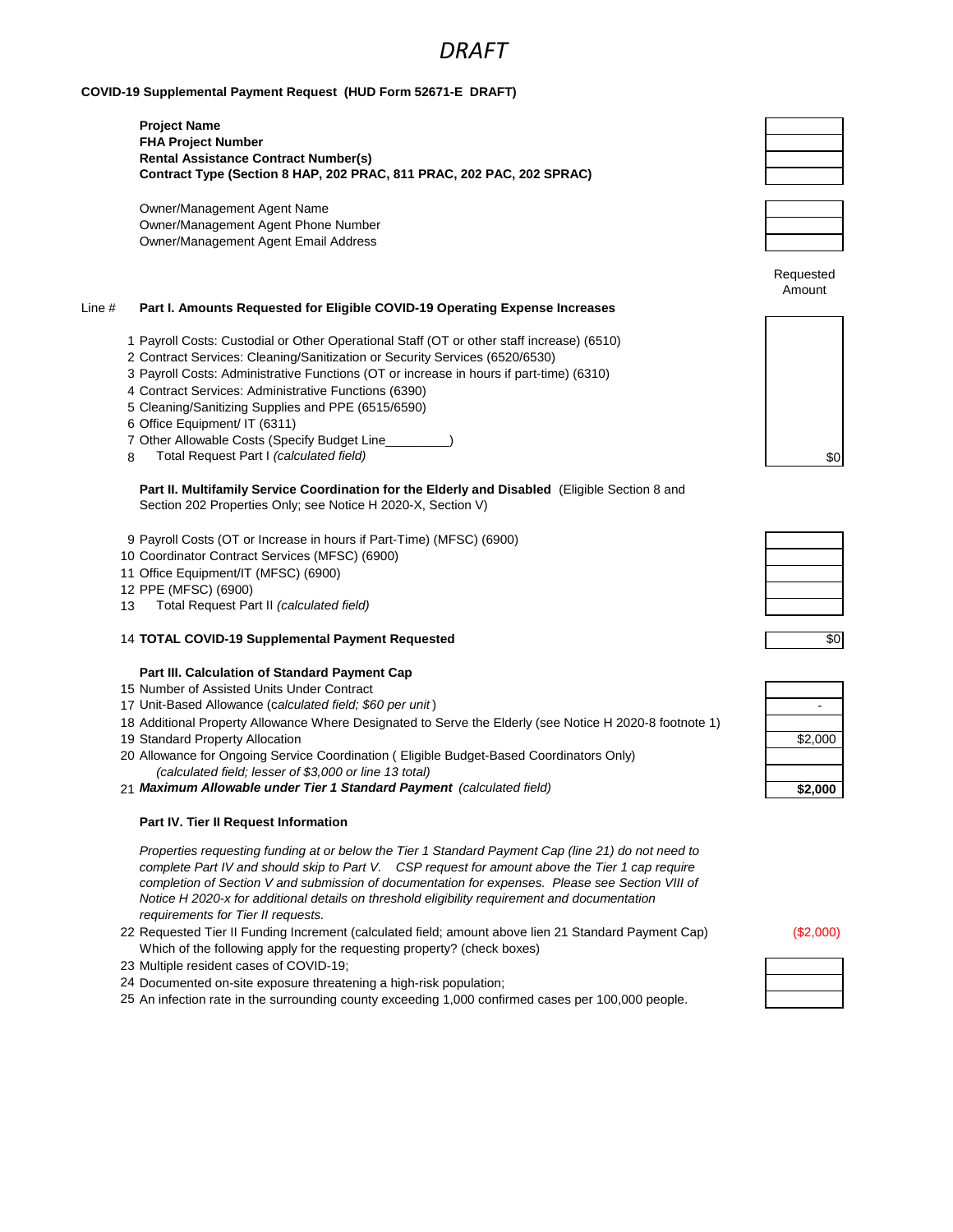# *DRAFT*

## **COVID-19 Supplemental Payment Request (HUD Form 52671-E DRAFT)**

**Project Name FHA Project Number Rental Assistance Contract Number(s) Contract Type (Section 8 HAP, 202 PRAC, 811 PRAC, 202 PAC, 202 SPRAC)**

Owner/Management Agent Name Owner/Management Agent Phone Number Owner/Management Agent Email Address

## Line # **Part I. Amounts Requested for Eligible COVID-19 Operating Expense Increases**

- 1 Payroll Costs: Custodial or Other Operational Staff (OT or other staff increase) (6510)
- 2 Contract Services: Cleaning/Sanitization or Security Services (6520/6530)
- 3 Payroll Costs: Administrative Functions (OT or increase in hours if part-time) (6310)
- 4 Contract Services: Administrative Functions (6390)
- 5 Cleaning/Sanitizing Supplies and PPE (6515/6590)
- 6 Office Equipment/ IT (6311)
- 7 Other Allowable Costs (Specify Budget Line\_\_\_\_\_\_\_\_\_)
- 8 Total Request Part I *(calculated field)* \$0

**Part II. Multifamily Service Coordination for the Elderly and Disabled** (Eligible Section 8 and Section 202 Properties Only; see Notice H 2020-X, Section V)

- 9 Payroll Costs (OT or Increase in hours if Part-Time) (MFSC) (6900)
- 10 Coordinator Contract Services (MFSC) (6900)
- 11 Office Equipment/IT (MFSC) (6900)
- 12 PPE (MFSC) (6900)
- 13 Total Request Part II *(calculated field)*
- 14 **TOTAL COVID-19 Supplemental Payment Requested**

### **Part III. Calculation of Standard Payment Cap**

- 15 Number of Assisted Units Under Contract
- 17 Unit-Based Allowance (c*alculated field; \$60 per unit* ) -
- 18 Additional Property Allowance Where Designated to Serve the Elderly (see Notice H 2020-8 footnote 1) 19 Standard Property Allocation
- 20 Allowance for Ongoing Service Coordination ( Eligible Budget-Based Coordinators Only) *(calculated field; lesser of \$3,000 or line 13 total)*
- 21 Maximum Allowable under Tier 1 Standard Payment (calculated field)

### **Part IV. Tier II Request Information**

*Properties requesting funding at or below the Tier 1 Standard Payment Cap (line 21) do not need to complete Part IV and should skip to Part V. CSP request for amount above the Tier 1 cap require completion of Section V and submission of documentation for expenses. Please see Section VIII of Notice H 2020-x for additional details on threshold eligibility requirement and documentation requirements for Tier II requests.* 

- 22 Requested Tier II Funding Increment (calculated field; amount above lien 21 Standard Payment Cap) (\$2,000) Which of the following apply for the requesting property? (check boxes)
- 23 Multiple resident cases of COVID-19;
- 24 Documented on-site exposure threatening a high-risk population;
- 25 An infection rate in the surrounding county exceeding 1,000 confirmed cases per 100,000 people.





Requested Amount



| $\overline{50}$ |
|-----------------|

| \$2,000 |
|---------|
| \$2,000 |

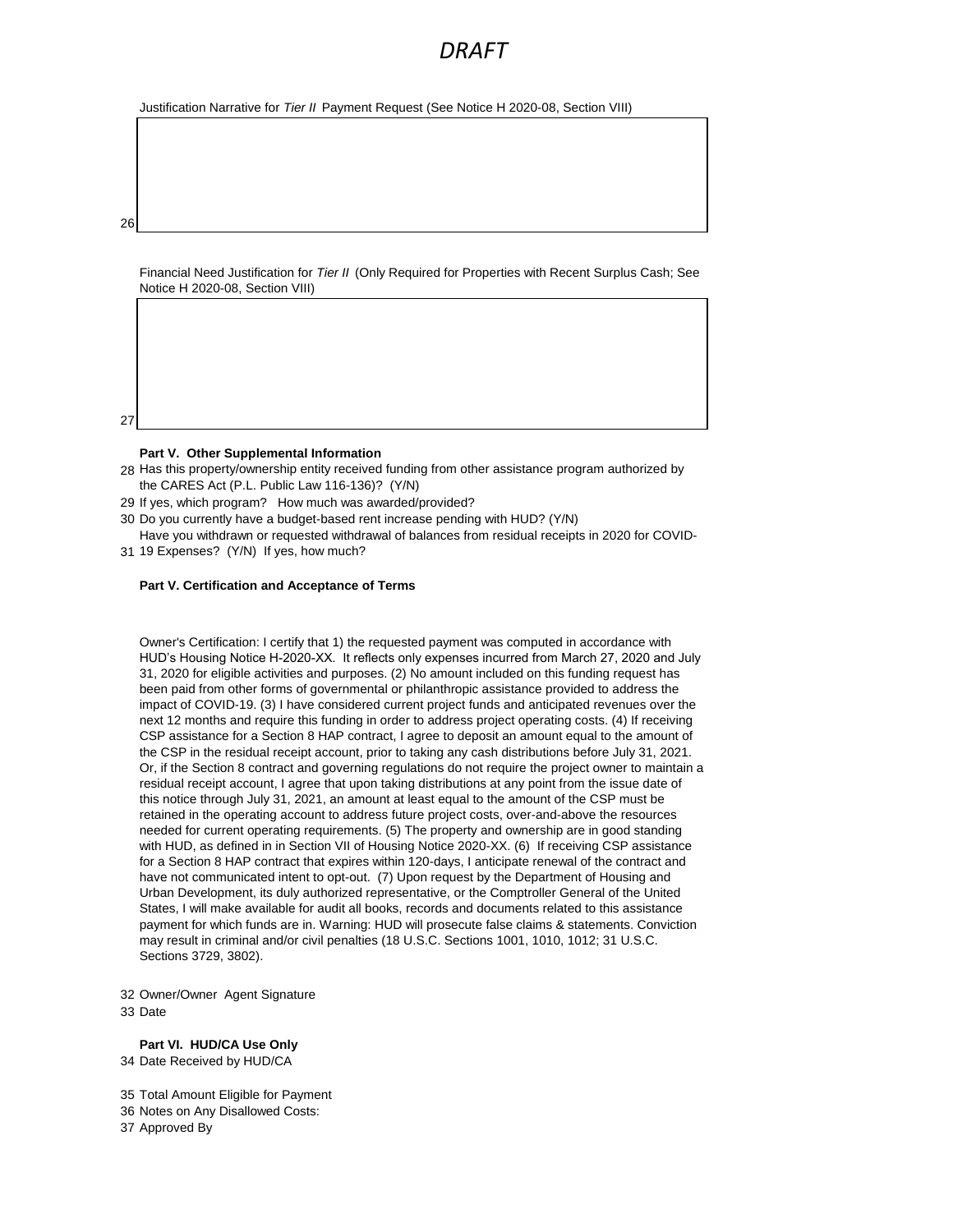# *DRAFT*

Justification Narrative for *Tier II* Payment Request (See Notice H 2020-08, Section VIII)

26

27

Financial Need Justification for *Tier II* (Only Required for Properties with Recent Surplus Cash; See Notice H 2020-08, Section VIII)



- 28 Has this property/ownership entity received funding from other assistance program authorized by the CARES Act (P.L. Public Law 116-136)? (Y/N)
- 29 If yes, which program? How much was awarded/provided?
- 30 Do you currently have a budget-based rent increase pending with HUD? (Y/N)
- 31 19 Expenses? (Y/N) If yes, how much? Have you withdrawn or requested withdrawal of balances from residual receipts in 2020 for COVID-

### **Part V. Certification and Acceptance of Terms**

Owner's Certification: I certify that 1) the requested payment was computed in accordance with HUD's Housing Notice H-2020-XX. It reflects only expenses incurred from March 27, 2020 and July 31, 2020 for eligible activities and purposes. (2) No amount included on this funding request has been paid from other forms of governmental or philanthropic assistance provided to address the impact of COVID-19. (3) I have considered current project funds and anticipated revenues over the next 12 months and require this funding in order to address project operating costs. (4) If receiving CSP assistance for a Section 8 HAP contract, I agree to deposit an amount equal to the amount of the CSP in the residual receipt account, prior to taking any cash distributions before July 31, 2021. Or, if the Section 8 contract and governing regulations do not require the project owner to maintain a residual receipt account, I agree that upon taking distributions at any point from the issue date of this notice through July 31, 2021, an amount at least equal to the amount of the CSP must be retained in the operating account to address future project costs, over-and-above the resources needed for current operating requirements. (5) The property and ownership are in good standing with HUD, as defined in in Section VII of Housing Notice 2020-XX. (6) If receiving CSP assistance for a Section 8 HAP contract that expires within 120-days, I anticipate renewal of the contract and have not communicated intent to opt-out. (7) Upon request by the Department of Housing and Urban Development, its duly authorized representative, or the Comptroller General of the United States, I will make available for audit all books, records and documents related to this assistance payment for which funds are in. Warning: HUD will prosecute false claims & statements. Conviction may result in criminal and/or civil penalties (18 U.S.C. Sections 1001, 1010, 1012; 31 U.S.C. Sections 3729, 3802).

32 Owner/Owner Agent Signature 33 Date

**Part VI. HUD/CA Use Only** 34 Date Received by HUD/CA

35 Total Amount Eligible for Payment 36 Notes on Any Disallowed Costs: 37 Approved By